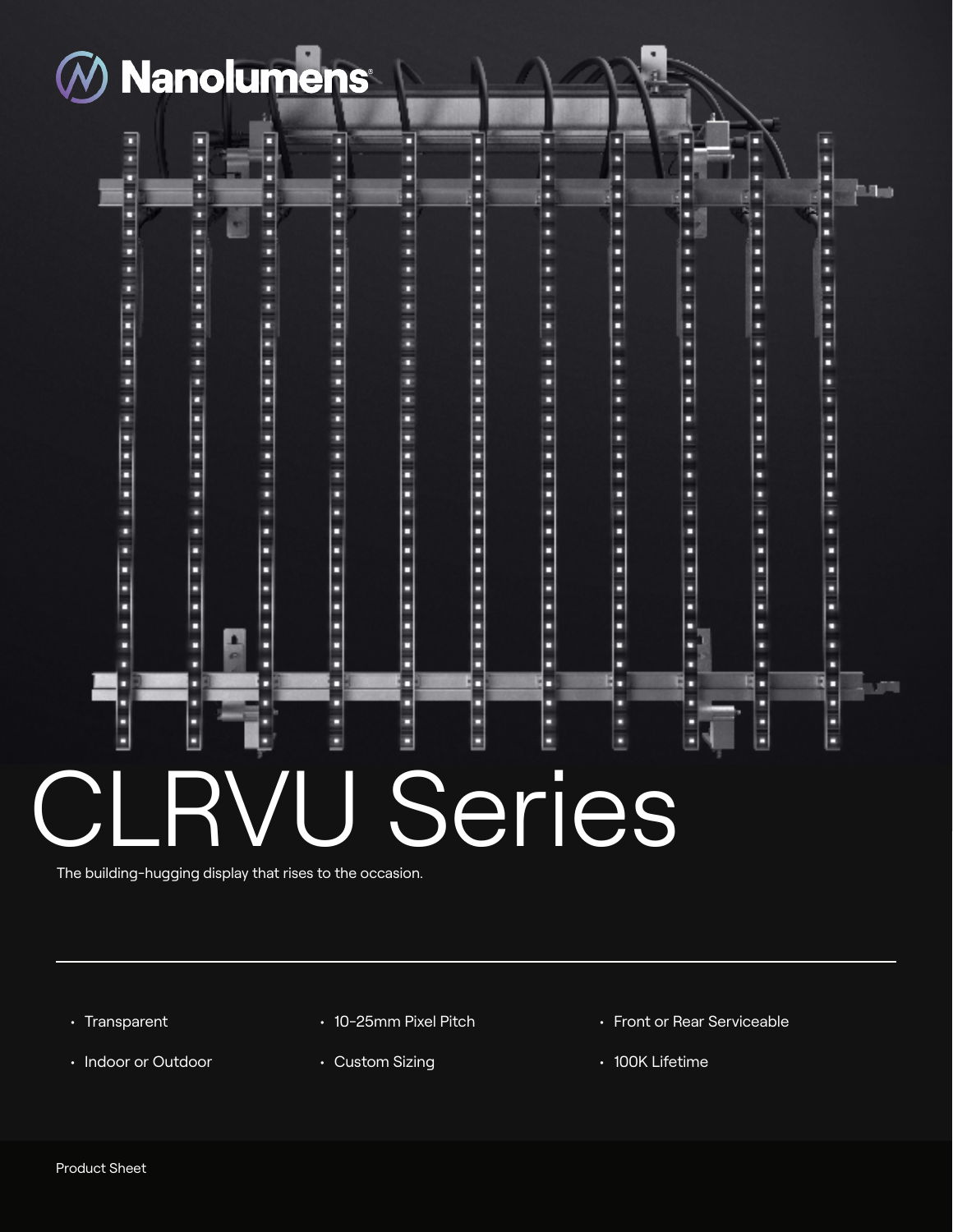

⊡

Ë

٥

٥

E

٥

□

۰

۰

□

**CONTRACTOR** 

E

٠

٥

٥

٦

Ē

۵

٥

٥

٥

п

A.

o

۰

۵

π

٥

**CONTRACTOR** 

Ē

▫

. . . . . . . . . . . . . .

◻

▫

۰

۰

◻

٥

Ē

٥

٠

٥

٥

۰

۵

٥

۰

۵

۵

۰

۵

Ē

۵

. . . . . . . . . . .

⊡

▊

Ξ

п

۵

п

٥

٥

о

о

٠

٥

٥

٥

٥

Β

п

Е

E

E

۵

. . . . . . . . .

Ē

ä

٥

٥

٥

٥

Ë

п

п

E

٥

□

۵

۵

٥

о

٠

٥

. . . . . . . .

٥

٥

۵

o

۰

۵

o

O

о

۵

۵

□

۰

п

п

۰

0

٥

۵

**THE REAL** 

D

E

۵

в

۵

۰

о

о

Е

0

п

в

۰

о

□ Ē π

i

Β

ī

٥

Ë

E

п

◻

О E

٥

۵

۰

О

□

⊡

ō

о

D

۰

□

Ë

E

haw

E

٥

٥

٠

**Property** 

٥

٥

۰

◘

ENERGIE

E

۰

٠

о

8

Ē

о

о

в

п

٥

Ξ

۵

٥

E

۵

o

۰

ENGINEER

٥

o

**CARD AND** 

۵

۵

٥

E

□

п

## Ë İ ENEZI E E о ⊡ J Series

The building-hugging display that rises to the occasion.

- Transparent
- Indoor or Outdoor
- 10-25mm Pixel Pitch
- Custom Sizing
- Front or Rear Serviceable
- 100K Lifetime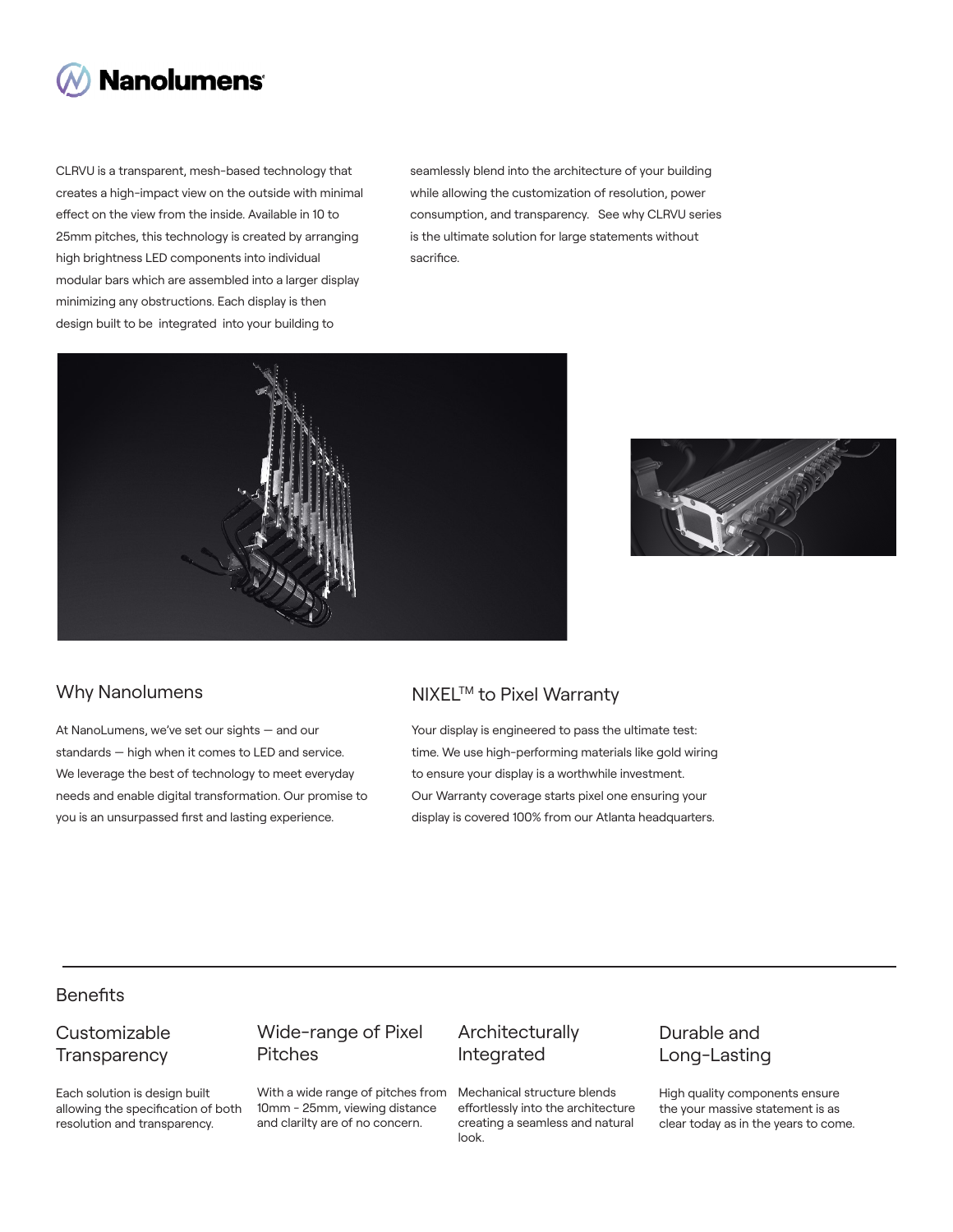

CLRVU is a transparent, mesh-based technology that creates a high-impact view on the outside with minimal effect on the view from the inside. Available in 10 to 25mm pitches, this technology is created by arranging high brightness LED components into individual modular bars which are assembled into a larger display minimizing any obstructions. Each display is then design built to be integrated into your building to

seamlessly blend into the architecture of your building while allowing the customization of resolution, power consumption, and transparency. See why CLRVU series is the ultimate solution for large statements without sacrifice.





At NanoLumens, we've set our sights — and our standards — high when it comes to LED and service. We leverage the best of technology to meet everyday needs and enable digital transformation. Our promise to you is an unsurpassed first and lasting experience.

## Why Nanolumens MIXEL™ to Pixel Warranty

Your display is engineered to pass the ultimate test: time. We use high-performing materials like gold wiring to ensure your display is a worthwhile investment. Our Warranty coverage starts pixel one ensuring your display is covered 100% from our Atlanta headquarters.

# **Benefits**

## Customizable **Transparency**

Each solution is design built allowing the specification of both resolution and transparency.

### Wide-range of Pixel Pitches

With a wide range of pitches from 10mm - 25mm, viewing distance and clarilty are of no concern.

#### Architecturally Integrated

Mechanical structure blends effortlessly into the architecture creating a seamless and natural look.

## Durable and Long-Lasting

High quality components ensure the your massive statement is as clear today as in the years to come.